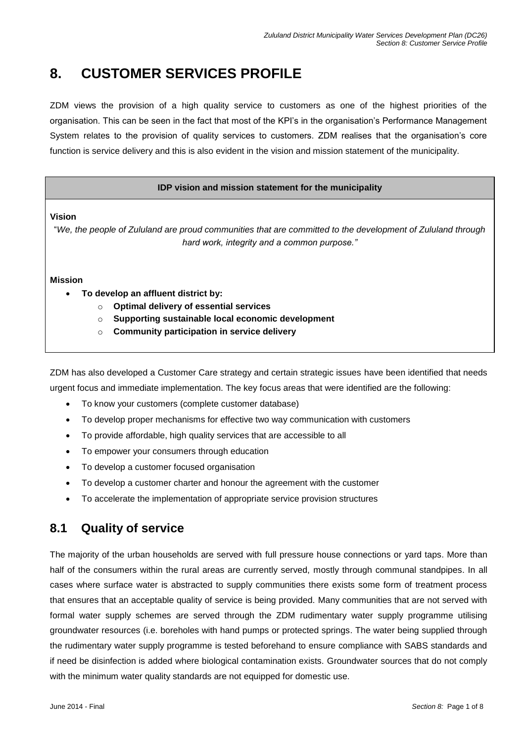# **8. CUSTOMER SERVICES PROFILE**

ZDM views the provision of a high quality service to customers as one of the highest priorities of the organisation. This can be seen in the fact that most of the KPI's in the organisation's Performance Management System relates to the provision of quality services to customers. ZDM realises that the organisation's core function is service delivery and this is also evident in the vision and mission statement of the municipality.

### **IDP vision and mission statement for the municipality**

**Vision**

"*We, the people of Zululand are proud communities that are committed to the development of Zululand through hard work, integrity and a common purpose."*

### **Mission**

- **To develop an affluent district by:**
	- o **Optimal delivery of essential services**
	- o **Supporting sustainable local economic development**
	- o **Community participation in service delivery**

ZDM has also developed a Customer Care strategy and certain strategic issues have been identified that needs urgent focus and immediate implementation. The key focus areas that were identified are the following:

- To know your customers (complete customer database)
- To develop proper mechanisms for effective two way communication with customers
- To provide affordable, high quality services that are accessible to all
- To empower your consumers through education
- To develop a customer focused organisation
- To develop a customer charter and honour the agreement with the customer
- To accelerate the implementation of appropriate service provision structures

## **8.1 Quality of service**

The majority of the urban households are served with full pressure house connections or yard taps. More than half of the consumers within the rural areas are currently served, mostly through communal standpipes. In all cases where surface water is abstracted to supply communities there exists some form of treatment process that ensures that an acceptable quality of service is being provided. Many communities that are not served with formal water supply schemes are served through the ZDM rudimentary water supply programme utilising groundwater resources (i.e. boreholes with hand pumps or protected springs. The water being supplied through the rudimentary water supply programme is tested beforehand to ensure compliance with SABS standards and if need be disinfection is added where biological contamination exists. Groundwater sources that do not comply with the minimum water quality standards are not equipped for domestic use.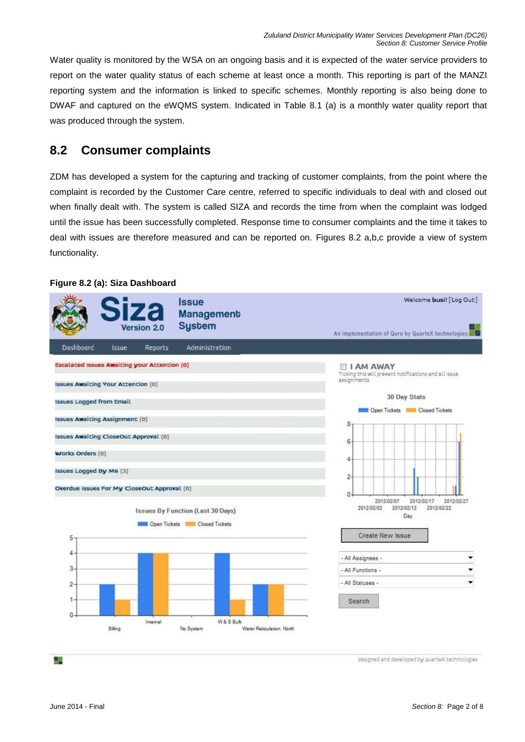Water quality is monitored by the WSA on an ongoing basis and it is expected of the water service providers to report on the water quality status of each scheme at least once a month. This reporting is part of the MANZI reporting system and the information is linked to specific schemes. Monthly reporting is also being done to DWAF and captured on the eWQMS system. Indicated in Table 8.1 (a) is a monthly water quality report that was produced through the system.

## **8.2 Consumer complaints**

ZDM has developed a system for the capturing and tracking of customer complaints, from the point where the complaint is recorded by the Customer Care centre, referred to specific individuals to deal with and closed out when finally dealt with. The system is called SIZA and records the time from when the complaint was lodged until the issue has been successfully completed. Response time to consumer complaints and the time it takes to deal with issues are therefore measured and can be reported on. Figures 8.2 a,b,c provide a view of system functionality.

### **Figure 8.2 (a): Siza Dashboard**



designed and developed by quarteX technologies

驑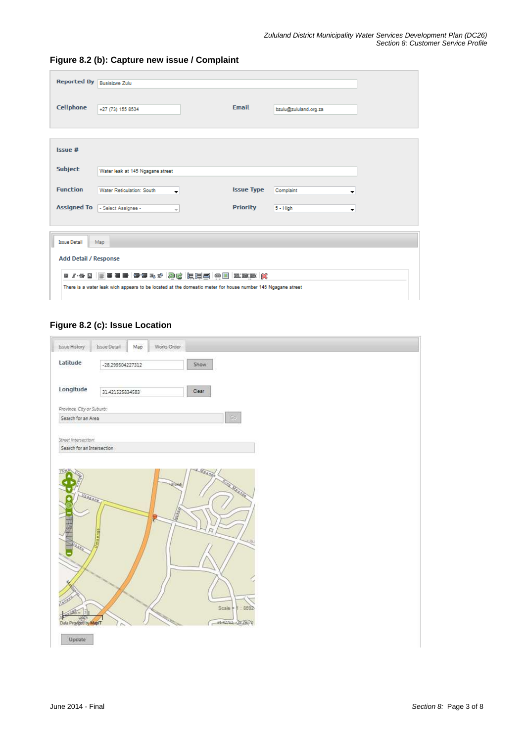| Reported By Busisizwe Zulu   |                                                                                                            |                   |                       |  |  |  |  |  |  |  |  |
|------------------------------|------------------------------------------------------------------------------------------------------------|-------------------|-----------------------|--|--|--|--|--|--|--|--|
| Cellphone                    | +27 (73) 155 8534                                                                                          | <b>Email</b>      | bzulu@zululand.org.za |  |  |  |  |  |  |  |  |
| Issue #                      |                                                                                                            |                   |                       |  |  |  |  |  |  |  |  |
| <b>Subject</b>               | Water leak at 145 Ngagane street                                                                           |                   |                       |  |  |  |  |  |  |  |  |
| <b>Function</b>              | <b>Water Reticulation: South</b><br>$\cdot$                                                                | <b>Issue Type</b> | Complaint<br>▼        |  |  |  |  |  |  |  |  |
|                              | Assigned To <b>F</b> Select Assignee -<br>$\overline{\phantom{a}}$                                         | <b>Priority</b>   | $5 - High$<br>▼       |  |  |  |  |  |  |  |  |
| <b>Issue Detail</b>          | Map                                                                                                        |                   |                       |  |  |  |  |  |  |  |  |
| <b>Add Detail / Response</b> |                                                                                                            |                   |                       |  |  |  |  |  |  |  |  |
|                              | There is a water leak wich appears to be located at the domestic meter for house number 145 Ngagane street |                   |                       |  |  |  |  |  |  |  |  |

### **Figure 8.2 (b): Capture new issue / Complaint**

### **Figure 8.2 (c): Issue Location**

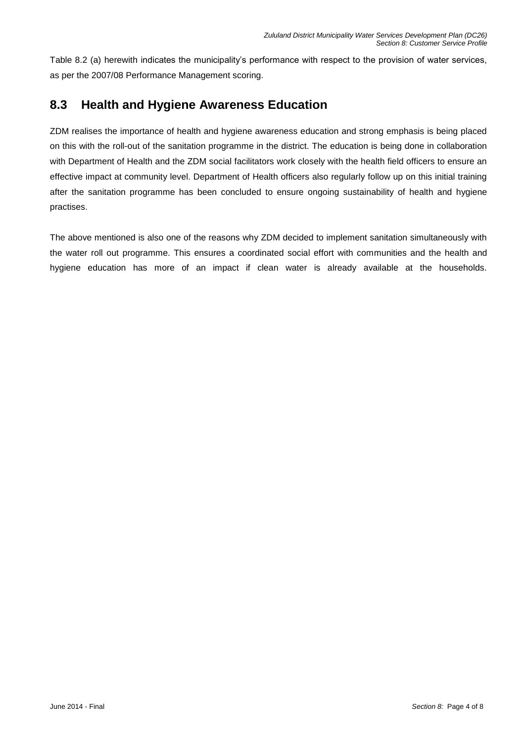Table 8.2 (a) herewith indicates the municipality's performance with respect to the provision of water services, as per the 2007/08 Performance Management scoring.

## **8.3 Health and Hygiene Awareness Education**

ZDM realises the importance of health and hygiene awareness education and strong emphasis is being placed on this with the roll-out of the sanitation programme in the district. The education is being done in collaboration with Department of Health and the ZDM social facilitators work closely with the health field officers to ensure an effective impact at community level. Department of Health officers also regularly follow up on this initial training after the sanitation programme has been concluded to ensure ongoing sustainability of health and hygiene practises.

The above mentioned is also one of the reasons why ZDM decided to implement sanitation simultaneously with the water roll out programme. This ensures a coordinated social effort with communities and the health and hygiene education has more of an impact if clean water is already available at the households.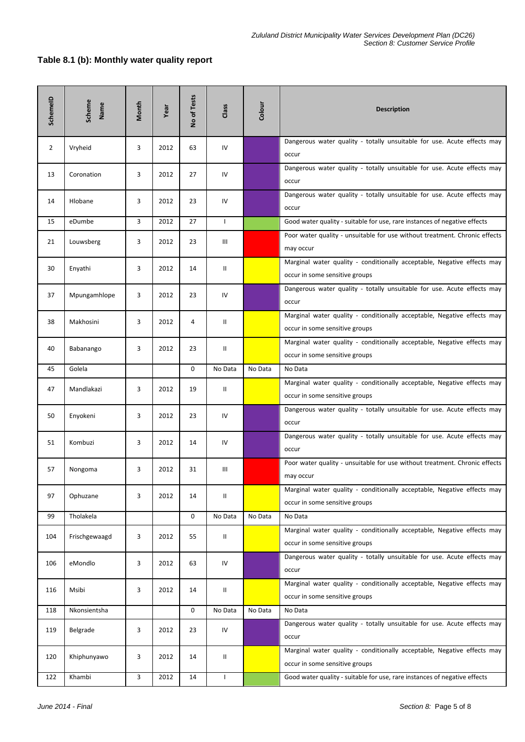### **Table 8.1 (b): Monthly water quality report**

| SchemeID       | Scheme<br>Name | Month | Year | No of Tests | Class        | Colour  | <b>Description</b>                                                                                        |
|----------------|----------------|-------|------|-------------|--------------|---------|-----------------------------------------------------------------------------------------------------------|
| $\overline{2}$ | Vryheid        | 3     | 2012 | 63          | IV           |         | Dangerous water quality - totally unsuitable for use. Acute effects may<br>occur                          |
| 13             | Coronation     | 3     | 2012 | 27          | IV           |         | Dangerous water quality - totally unsuitable for use. Acute effects may<br>occur                          |
| 14             | Hlobane        | 3     | 2012 | 23          | IV           |         | Dangerous water quality - totally unsuitable for use. Acute effects may<br>occur                          |
| 15             | eDumbe         | 3     | 2012 | 27          | $\mathbf{I}$ |         | Good water quality - suitable for use, rare instances of negative effects                                 |
| 21             | Louwsberg      | 3     | 2012 | 23          | Ш            |         | Poor water quality - unsuitable for use without treatment. Chronic effects<br>may occur                   |
| 30             | Enyathi        | 3     | 2012 | 14          | Ш            |         | Marginal water quality - conditionally acceptable, Negative effects may<br>occur in some sensitive groups |
| 37             | Mpungamhlope   | 3     | 2012 | 23          | IV           |         | Dangerous water quality - totally unsuitable for use. Acute effects may<br>occur                          |
| 38             | Makhosini      | 3     | 2012 | 4           | Ш            |         | Marginal water quality - conditionally acceptable, Negative effects may<br>occur in some sensitive groups |
| 40             | Babanango      | 3     | 2012 | 23          | Ш            |         | Marginal water quality - conditionally acceptable, Negative effects may<br>occur in some sensitive groups |
| 45             | Golela         |       |      | $\mathbf 0$ | No Data      | No Data | No Data                                                                                                   |
| 47             | Mandlakazi     | 3     | 2012 | 19          | Ш            |         | Marginal water quality - conditionally acceptable, Negative effects may<br>occur in some sensitive groups |
| 50             | Enyokeni       | 3     | 2012 | 23          | IV           |         | Dangerous water quality - totally unsuitable for use. Acute effects may<br>occur                          |
| 51             | Kombuzi        | 3     | 2012 | 14          | IV           |         | Dangerous water quality - totally unsuitable for use. Acute effects may<br>occur                          |
| 57             | Nongoma        | 3     | 2012 | 31          | Ш            |         | Poor water quality - unsuitable for use without treatment. Chronic effects<br>may occur                   |
| 97             | Ophuzane       | 3     | 2012 | 14          | Ш            |         | Marginal water quality - conditionally acceptable, Negative effects may<br>occur in some sensitive groups |
| 99             | Tholakela      |       |      | 0           | No Data      | No Data | No Data                                                                                                   |
| 104            | Frischgewaagd  | 3     | 2012 | 55          | Ш            |         | Marginal water quality - conditionally acceptable, Negative effects may<br>occur in some sensitive groups |
| 106            | eMondlo        | 3     | 2012 | 63          | IV           |         | Dangerous water quality - totally unsuitable for use. Acute effects may<br>occur                          |
| 116            | Msibi          | 3     | 2012 | 14          | Ш            |         | Marginal water quality - conditionally acceptable, Negative effects may<br>occur in some sensitive groups |
| 118            | Nkonsientsha   |       |      | 0           | No Data      | No Data | No Data                                                                                                   |
| 119            | Belgrade       | 3     | 2012 | 23          | IV           |         | Dangerous water quality - totally unsuitable for use. Acute effects may<br>occur                          |
| 120            | Khiphunyawo    | 3     | 2012 | 14          | Ш            |         | Marginal water quality - conditionally acceptable, Negative effects may<br>occur in some sensitive groups |
| 122            | Khambi         | 3     | 2012 | 14          | J.           |         | Good water quality - suitable for use, rare instances of negative effects                                 |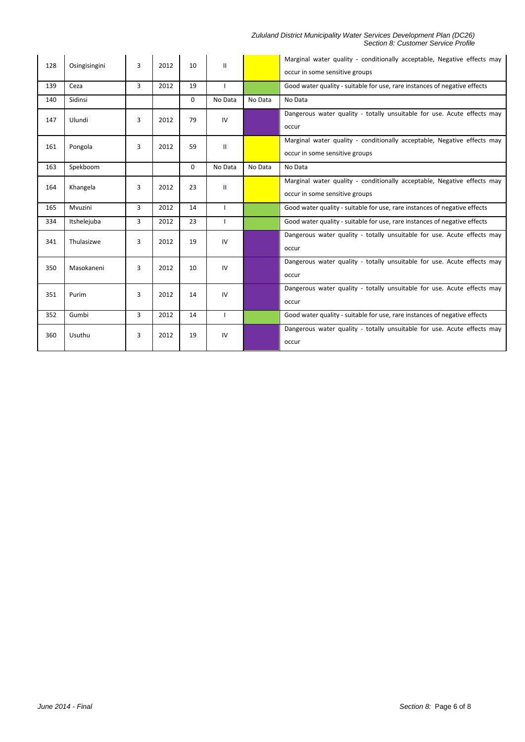#### *Zululand District Municipality Water Services Development Plan (DC26) Section 8: Customer Service Profile*

| 128 | Osingisingini | 3              | 2012 | 10          | Ш       |         | Marginal water quality - conditionally acceptable, Negative effects may<br>occur in some sensitive groups |
|-----|---------------|----------------|------|-------------|---------|---------|-----------------------------------------------------------------------------------------------------------|
| 139 | Ceza          | $\overline{3}$ | 2012 | 19          |         |         | Good water quality - suitable for use, rare instances of negative effects                                 |
| 140 | Sidinsi       |                |      | $\mathbf 0$ | No Data | No Data | No Data                                                                                                   |
| 147 | Ulundi        | 3              | 2012 | 79          | IV      |         | Dangerous water quality - totally unsuitable for use. Acute effects may<br>occur                          |
| 161 | Pongola       | 3              | 2012 | 59          | Ш       |         | Marginal water quality - conditionally acceptable, Negative effects may<br>occur in some sensitive groups |
| 163 | Spekboom      |                |      | $\mathbf 0$ | No Data | No Data | No Data                                                                                                   |
| 164 | Khangela      | 3              | 2012 | 23          | Ш       |         | Marginal water quality - conditionally acceptable, Negative effects may<br>occur in some sensitive groups |
| 165 | Mvuzini       | 3              | 2012 | 14          |         |         | Good water quality - suitable for use, rare instances of negative effects                                 |
| 334 | Itshelejuba   | 3              | 2012 | 23          |         |         | Good water quality - suitable for use, rare instances of negative effects                                 |
| 341 | Thulasizwe    | 3              | 2012 | 19          | IV      |         | Dangerous water quality - totally unsuitable for use. Acute effects may<br>occur                          |
| 350 | Masokaneni    | 3              | 2012 | 10          | IV      |         | Dangerous water quality - totally unsuitable for use. Acute effects may<br>occur                          |
| 351 | Purim         | 3              | 2012 | 14          | IV      |         | Dangerous water quality - totally unsuitable for use. Acute effects may<br>occur                          |
| 352 | Gumbi         | 3              | 2012 | 14          |         |         | Good water quality - suitable for use, rare instances of negative effects                                 |
| 360 | Usuthu        | 3              | 2012 | 19          | IV      |         | Dangerous water quality - totally unsuitable for use. Acute effects may<br>occur                          |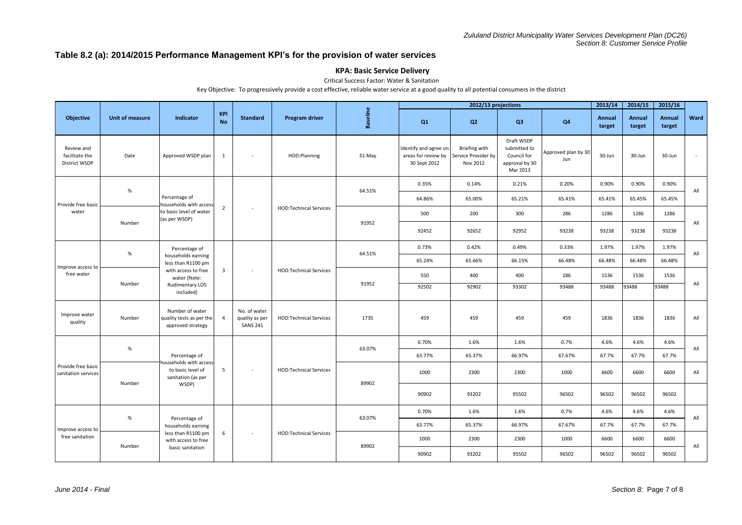### **Table 8.2 (a): 2014/2015 Performance Management KPI's for the provision of water services**

### **KPA: Basic Service Delivery**

Critical Success Factor: Water & Sanitation

Key Objective: To progressively provide a cost effective, reliable water service at a good quality to all potential consumers in the district

|                                                      |                 |                                                                                                                                         |                         |                                                   |                               |                 |                                                              | 2012/13 projections                              |                                                                         |                            | 2013/14          | 2014/15          | 2015/16          |      |
|------------------------------------------------------|-----------------|-----------------------------------------------------------------------------------------------------------------------------------------|-------------------------|---------------------------------------------------|-------------------------------|-----------------|--------------------------------------------------------------|--------------------------------------------------|-------------------------------------------------------------------------|----------------------------|------------------|------------------|------------------|------|
| Objective                                            | Unit of measure | <b>Indicator</b>                                                                                                                        | <b>KPI</b><br><b>No</b> | <b>Standard</b>                                   | <b>Program driver</b>         | <b>Baseline</b> | Q <sub>1</sub>                                               | Q2                                               | Q3                                                                      | Q <sub>4</sub>             | Annual<br>target | Annual<br>target | Annual<br>target | Ward |
| Review and<br>facilitate the<br><b>District WSDP</b> | Date            | Approved WSDP plan                                                                                                                      | $\mathbf{1}$            |                                                   | HOD:Planning                  | 31-May          | Identify and agree on<br>areas for review by<br>30 Sept 2012 | Briefing with<br>Service Provider by<br>Nov 2012 | Draft WSDP<br>submitted to<br>Council for<br>approval by 30<br>Mar 2013 | Approved plan by 30<br>Jun | 30-Jun           | 30-Jun           | 30-Jun           |      |
|                                                      |                 |                                                                                                                                         |                         |                                                   |                               |                 | 0.35%                                                        | 0.14%                                            | 0.21%                                                                   | 0.20%                      | 0.90%            | 0.90%            | 0.90%            | All  |
| Provide free basic                                   | $\%$            | Percentage of<br>households with access                                                                                                 |                         |                                                   |                               | 64.51%          | 64.86%                                                       | 65.00%                                           | 65.21%                                                                  | 65.41%                     | 65.41%           | 65.45%           | 65.45%           |      |
| water                                                |                 | to basic level of water<br>(as per WSDP)                                                                                                | $\overline{2}$          | $\sim$                                            | <b>HOD:Technical Services</b> |                 | 500                                                          | 200                                              | 300                                                                     | 286                        | 1286             | 1286             | 1286             |      |
|                                                      | Number          |                                                                                                                                         |                         |                                                   |                               | 91952           | 92452                                                        | 92652                                            | 92952                                                                   | 93238                      | 93238            | 93238            | 93238            | All  |
| Improve access to<br>free water                      |                 | Percentage of<br>households earning<br>less than R1100 pm<br>with access to free<br>water (Note:<br><b>Rudimentary LOS</b><br>included) |                         | ×                                                 | <b>HOD:Technical Services</b> |                 | 0.73%                                                        | 0.42%                                            | 0.49%                                                                   | 0.33%                      | 1.97%            | 1.97%            | 1.97%            | All  |
|                                                      | %               |                                                                                                                                         |                         |                                                   |                               | 64.51%          | 65.24%                                                       | 65.66%                                           | 66.15%                                                                  | 66.48%                     | 66.48%           | 66.48%           | 66.48%           |      |
|                                                      | Number          |                                                                                                                                         | $\overline{3}$          |                                                   |                               | 91952           | 550                                                          | 400                                              | 400                                                                     | 186                        | 1536             | 1536             | 1536             |      |
|                                                      |                 |                                                                                                                                         |                         |                                                   |                               |                 | 92502                                                        | 92902                                            | 93302                                                                   | 93488                      | 93488            | 93488            | 93488            | All  |
| Improve water<br>quality                             | Number          | Number of water<br>quality tests as per the<br>approved strategy                                                                        | $\overline{4}$          | No. of water<br>quality as per<br><b>SANS 241</b> | <b>HOD:Technical Services</b> | 1735            | 459                                                          | 459                                              | 459                                                                     | 459                        | 1836             | 1836             | 1836             | All  |
|                                                      | $\%$            | Percentage of<br>households with acces                                                                                                  |                         |                                                   | <b>HOD:Technical Services</b> | 63.07%          | 0.70%                                                        | 1.6%                                             | 1.6%                                                                    | 0.7%                       | 4.6%             | 4.6%             | 4.6%             | All  |
|                                                      |                 |                                                                                                                                         |                         | $\sim$                                            |                               |                 | 63.77%                                                       | 65.37%                                           | 66.97%                                                                  | 67.67%                     | 67.7%            | 67.7%            | 67.7%            |      |
| Provide free basic<br>sanitation services            | Number          | to basic level of<br>sanitation (as per                                                                                                 | 5                       |                                                   |                               | 89902           | 1000                                                         | 2300                                             | 2300                                                                    | 1000                       | 6600             | 6600             | 6600             | All  |
|                                                      |                 | WSDP)                                                                                                                                   |                         |                                                   |                               |                 | 90902                                                        | 93202                                            | 95502                                                                   | 96502                      | 96502            | 96502            | 96502            |      |
|                                                      | %               |                                                                                                                                         |                         |                                                   |                               | 63.07%          | 0.70%                                                        | 1.6%                                             | 1.6%                                                                    | 0.7%                       | 4.6%             | 4.6%             | 4.6%             | All  |
| Improve access to                                    |                 | Percentage of<br>households earning                                                                                                     |                         |                                                   |                               |                 | 63.77%                                                       | 65.37%                                           | 66.97%                                                                  | 67.67%                     | 67.7%            | 67.7%            | 67.7%            |      |
| free sanitation                                      |                 | less than R1100 pm<br>with access to free                                                                                               | 6                       | $\sim$                                            | <b>HOD:Technical Services</b> |                 | 1000                                                         | 2300                                             | 2300                                                                    | 1000                       | 6600             | 6600             | 6600             |      |
|                                                      | Number          | basic sanitation                                                                                                                        |                         |                                                   |                               | 89902           | 90902                                                        | 93202                                            | 95502                                                                   | 96502                      | 96502            | 96502            | 96502            | All  |